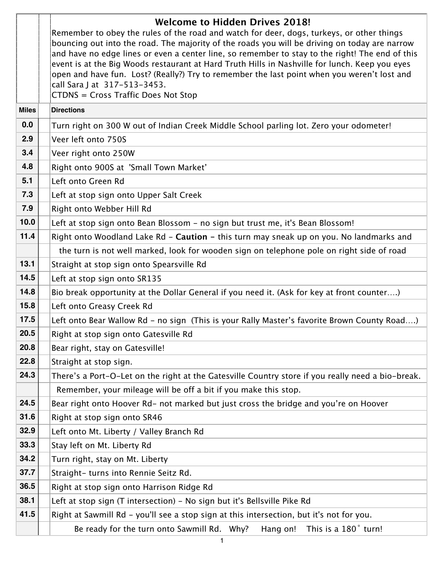|              | <b>Welcome to Hidden Drives 2018!</b><br>Remember to obey the rules of the road and watch for deer, dogs, turkeys, or other things<br>bouncing out into the road. The majority of the roads you will be driving on today are narrow<br>and have no edge lines or even a center line, so remember to stay to the right! The end of this<br>event is at the Big Woods restaurant at Hard Truth Hills in Nashville for lunch. Keep you eyes<br>open and have fun. Lost? (Really?) Try to remember the last point when you weren't lost and<br>call Sara J at 317-513-3453.<br>CTDNS = Cross Traffic Does Not Stop |
|--------------|----------------------------------------------------------------------------------------------------------------------------------------------------------------------------------------------------------------------------------------------------------------------------------------------------------------------------------------------------------------------------------------------------------------------------------------------------------------------------------------------------------------------------------------------------------------------------------------------------------------|
| <b>Miles</b> | <b>Directions</b>                                                                                                                                                                                                                                                                                                                                                                                                                                                                                                                                                                                              |
| 0.0          | Turn right on 300 W out of Indian Creek Middle School parling lot. Zero your odometer!                                                                                                                                                                                                                                                                                                                                                                                                                                                                                                                         |
| 2.9          | Veer left onto 750S                                                                                                                                                                                                                                                                                                                                                                                                                                                                                                                                                                                            |
| 3.4          | Veer right onto 250W                                                                                                                                                                                                                                                                                                                                                                                                                                                                                                                                                                                           |
| 4.8          | Right onto 900S at 'Small Town Market'                                                                                                                                                                                                                                                                                                                                                                                                                                                                                                                                                                         |
| 5.1          | Left onto Green Rd                                                                                                                                                                                                                                                                                                                                                                                                                                                                                                                                                                                             |
| 7.3          | Left at stop sign onto Upper Salt Creek                                                                                                                                                                                                                                                                                                                                                                                                                                                                                                                                                                        |
| 7.9          | Right onto Webber Hill Rd                                                                                                                                                                                                                                                                                                                                                                                                                                                                                                                                                                                      |
| 10.0         | Left at stop sign onto Bean Blossom - no sign but trust me, it's Bean Blossom!                                                                                                                                                                                                                                                                                                                                                                                                                                                                                                                                 |
| 11.4         | Right onto Woodland Lake Rd - Caution - this turn may sneak up on you. No landmarks and                                                                                                                                                                                                                                                                                                                                                                                                                                                                                                                        |
|              | the turn is not well marked, look for wooden sign on telephone pole on right side of road                                                                                                                                                                                                                                                                                                                                                                                                                                                                                                                      |
| 13.1         | Straight at stop sign onto Spearsville Rd                                                                                                                                                                                                                                                                                                                                                                                                                                                                                                                                                                      |
| 14.5         | Left at stop sign onto SR135                                                                                                                                                                                                                                                                                                                                                                                                                                                                                                                                                                                   |
| 14.8         | Bio break opportunity at the Dollar General if you need it. (Ask for key at front counter)                                                                                                                                                                                                                                                                                                                                                                                                                                                                                                                     |
| 15.8         | Left onto Greasy Creek Rd                                                                                                                                                                                                                                                                                                                                                                                                                                                                                                                                                                                      |
| 17.5         | Left onto Bear Wallow Rd - no sign (This is your Rally Master's favorite Brown County Road)                                                                                                                                                                                                                                                                                                                                                                                                                                                                                                                    |
| 20.5         | Right at stop sign onto Gatesville Rd                                                                                                                                                                                                                                                                                                                                                                                                                                                                                                                                                                          |
| 20.8         | Bear right, stay on Gatesville!                                                                                                                                                                                                                                                                                                                                                                                                                                                                                                                                                                                |
| 22.8         | Straight at stop sign.                                                                                                                                                                                                                                                                                                                                                                                                                                                                                                                                                                                         |
| 24.3         | There's a Port-O-Let on the right at the Gatesville Country store if you really need a bio-break.                                                                                                                                                                                                                                                                                                                                                                                                                                                                                                              |
|              | Remember, your mileage will be off a bit if you make this stop.                                                                                                                                                                                                                                                                                                                                                                                                                                                                                                                                                |
| 24.5         | Bear right onto Hoover Rd- not marked but just cross the bridge and you're on Hoover                                                                                                                                                                                                                                                                                                                                                                                                                                                                                                                           |
| 31.6         | Right at stop sign onto SR46                                                                                                                                                                                                                                                                                                                                                                                                                                                                                                                                                                                   |
| 32.9         | Left onto Mt. Liberty / Valley Branch Rd                                                                                                                                                                                                                                                                                                                                                                                                                                                                                                                                                                       |
| 33.3         | Stay left on Mt. Liberty Rd                                                                                                                                                                                                                                                                                                                                                                                                                                                                                                                                                                                    |
| 34.2         | Turn right, stay on Mt. Liberty                                                                                                                                                                                                                                                                                                                                                                                                                                                                                                                                                                                |
| 37.7         | Straight- turns into Rennie Seitz Rd.                                                                                                                                                                                                                                                                                                                                                                                                                                                                                                                                                                          |
| 36.5         | Right at stop sign onto Harrison Ridge Rd                                                                                                                                                                                                                                                                                                                                                                                                                                                                                                                                                                      |
| 38.1         | Left at stop sign (T intersection) - No sign but it's Bellsville Pike Rd                                                                                                                                                                                                                                                                                                                                                                                                                                                                                                                                       |
| 41.5         | Right at Sawmill Rd - you'll see a stop sign at this intersection, but it's not for you.                                                                                                                                                                                                                                                                                                                                                                                                                                                                                                                       |
|              | Hang on!<br>This is a 180° turn!<br>Be ready for the turn onto Sawmill Rd. Why?                                                                                                                                                                                                                                                                                                                                                                                                                                                                                                                                |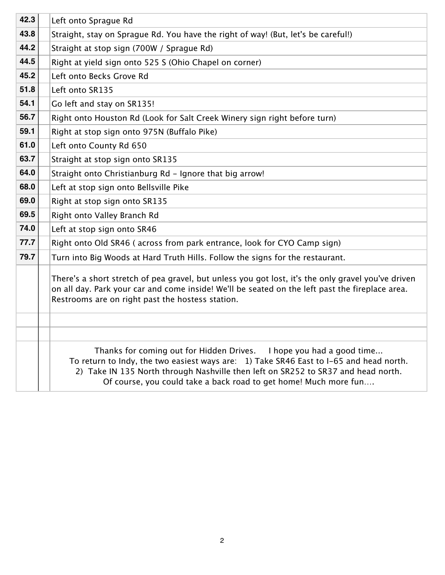| 42.3 | Left onto Sprague Rd                                                                                                                                                                                                                                                                                                   |
|------|------------------------------------------------------------------------------------------------------------------------------------------------------------------------------------------------------------------------------------------------------------------------------------------------------------------------|
| 43.8 | Straight, stay on Sprague Rd. You have the right of way! (But, let's be careful!)                                                                                                                                                                                                                                      |
| 44.2 | Straight at stop sign (700W / Sprague Rd)                                                                                                                                                                                                                                                                              |
| 44.5 | Right at yield sign onto 525 S (Ohio Chapel on corner)                                                                                                                                                                                                                                                                 |
| 45.2 | Left onto Becks Grove Rd                                                                                                                                                                                                                                                                                               |
| 51.8 | Left onto SR135                                                                                                                                                                                                                                                                                                        |
| 54.1 | Go left and stay on SR135!                                                                                                                                                                                                                                                                                             |
| 56.7 | Right onto Houston Rd (Look for Salt Creek Winery sign right before turn)                                                                                                                                                                                                                                              |
| 59.1 | Right at stop sign onto 975N (Buffalo Pike)                                                                                                                                                                                                                                                                            |
| 61.0 | Left onto County Rd 650                                                                                                                                                                                                                                                                                                |
| 63.7 | Straight at stop sign onto SR135                                                                                                                                                                                                                                                                                       |
| 64.0 | Straight onto Christianburg Rd - Ignore that big arrow!                                                                                                                                                                                                                                                                |
| 68.0 | Left at stop sign onto Bellsville Pike                                                                                                                                                                                                                                                                                 |
| 69.0 | Right at stop sign onto SR135                                                                                                                                                                                                                                                                                          |
| 69.5 | Right onto Valley Branch Rd                                                                                                                                                                                                                                                                                            |
| 74.0 | Left at stop sign onto SR46                                                                                                                                                                                                                                                                                            |
| 77.7 | Right onto Old SR46 (across from park entrance, look for CYO Camp sign)                                                                                                                                                                                                                                                |
| 79.7 | Turn into Big Woods at Hard Truth Hills. Follow the signs for the restaurant.                                                                                                                                                                                                                                          |
|      | There's a short stretch of pea gravel, but unless you got lost, it's the only gravel you've driven<br>on all day. Park your car and come inside! We'll be seated on the left past the fireplace area.<br>Restrooms are on right past the hostess station.                                                              |
|      |                                                                                                                                                                                                                                                                                                                        |
|      |                                                                                                                                                                                                                                                                                                                        |
|      | Thanks for coming out for Hidden Drives. I hope you had a good time<br>To return to Indy, the two easiest ways are: 1) Take SR46 East to I-65 and head north.<br>2) Take IN 135 North through Nashville then left on SR252 to SR37 and head north.<br>Of course, you could take a back road to get home! Much more fun |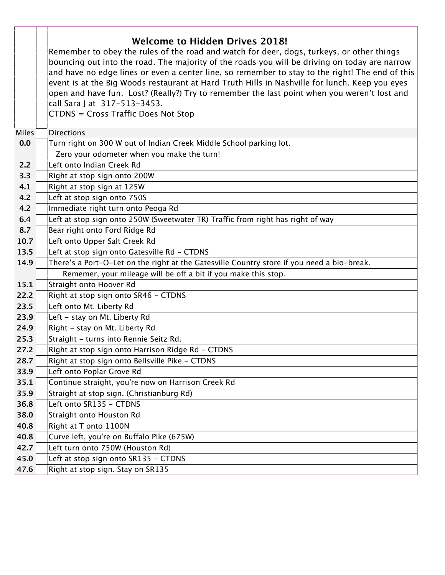|              | <b>Welcome to Hidden Drives 2018!</b><br>Remember to obey the rules of the road and watch for deer, dogs, turkeys, or other things<br>bouncing out into the road. The majority of the roads you will be driving on today are narrow<br>and have no edge lines or even a center line, so remember to stay to the right! The end of this<br>event is at the Big Woods restaurant at Hard Truth Hills in Nashville for lunch. Keep you eyes<br>open and have fun. Lost? (Really?) Try to remember the last point when you weren't lost and<br>call Sara J at 317-513-3453.<br>CTDNS = Cross Traffic Does Not Stop |
|--------------|----------------------------------------------------------------------------------------------------------------------------------------------------------------------------------------------------------------------------------------------------------------------------------------------------------------------------------------------------------------------------------------------------------------------------------------------------------------------------------------------------------------------------------------------------------------------------------------------------------------|
| <b>Miles</b> | <b>Directions</b>                                                                                                                                                                                                                                                                                                                                                                                                                                                                                                                                                                                              |
| 0.0          | Turn right on 300 W out of Indian Creek Middle School parking lot.                                                                                                                                                                                                                                                                                                                                                                                                                                                                                                                                             |
|              | Zero your odometer when you make the turn!                                                                                                                                                                                                                                                                                                                                                                                                                                                                                                                                                                     |
| 2.2          | Left onto Indian Creek Rd                                                                                                                                                                                                                                                                                                                                                                                                                                                                                                                                                                                      |
| 3.3          | Right at stop sign onto 200W                                                                                                                                                                                                                                                                                                                                                                                                                                                                                                                                                                                   |
| 4.1          | Right at stop sign at 125W                                                                                                                                                                                                                                                                                                                                                                                                                                                                                                                                                                                     |
| 4.2          | Left at stop sign onto 750S                                                                                                                                                                                                                                                                                                                                                                                                                                                                                                                                                                                    |
| 4.2          | Immediate right turn onto Peoga Rd                                                                                                                                                                                                                                                                                                                                                                                                                                                                                                                                                                             |
| 6.4          | Left at stop sign onto 250W (Sweetwater TR) Traffic from right has right of way                                                                                                                                                                                                                                                                                                                                                                                                                                                                                                                                |
| 8.7          | Bear right onto Ford Ridge Rd                                                                                                                                                                                                                                                                                                                                                                                                                                                                                                                                                                                  |
| 10.7         | Left onto Upper Salt Creek Rd                                                                                                                                                                                                                                                                                                                                                                                                                                                                                                                                                                                  |
| 13.5         | Left at stop sign onto Gatesville Rd - CTDNS                                                                                                                                                                                                                                                                                                                                                                                                                                                                                                                                                                   |
| 14.9         | There's a Port-O-Let on the right at the Gatesville Country store if you need a bio-break.                                                                                                                                                                                                                                                                                                                                                                                                                                                                                                                     |
|              | Rememer, your mileage will be off a bit if you make this stop.                                                                                                                                                                                                                                                                                                                                                                                                                                                                                                                                                 |
| 15.1         | Straight onto Hoover Rd                                                                                                                                                                                                                                                                                                                                                                                                                                                                                                                                                                                        |
| 22.2         | Right at stop sign onto SR46 - CTDNS                                                                                                                                                                                                                                                                                                                                                                                                                                                                                                                                                                           |
| 23.5         | Left onto Mt. Liberty Rd                                                                                                                                                                                                                                                                                                                                                                                                                                                                                                                                                                                       |
| 23.9         | Left - stay on Mt. Liberty Rd                                                                                                                                                                                                                                                                                                                                                                                                                                                                                                                                                                                  |
| 24.9         | Right - stay on Mt. Liberty Rd                                                                                                                                                                                                                                                                                                                                                                                                                                                                                                                                                                                 |
| 25.3         | Straight - turns into Rennie Seitz Rd.                                                                                                                                                                                                                                                                                                                                                                                                                                                                                                                                                                         |
| 27.2         | Right at stop sign onto Harrison Ridge Rd - CTDNS                                                                                                                                                                                                                                                                                                                                                                                                                                                                                                                                                              |
| 28.7         | Right at stop sign onto Bellsville Pike - CTDNS                                                                                                                                                                                                                                                                                                                                                                                                                                                                                                                                                                |
| 33.9         | Left onto Poplar Grove Rd                                                                                                                                                                                                                                                                                                                                                                                                                                                                                                                                                                                      |
| 35.1         | Continue straight, you're now on Harrison Creek Rd                                                                                                                                                                                                                                                                                                                                                                                                                                                                                                                                                             |
| 35.9         | Straight at stop sign. (Christianburg Rd)                                                                                                                                                                                                                                                                                                                                                                                                                                                                                                                                                                      |
| 36.8         | Left onto SR135 - CTDNS                                                                                                                                                                                                                                                                                                                                                                                                                                                                                                                                                                                        |
| 38.0         | Straight onto Houston Rd                                                                                                                                                                                                                                                                                                                                                                                                                                                                                                                                                                                       |
| 40.8         | Right at T onto 1100N                                                                                                                                                                                                                                                                                                                                                                                                                                                                                                                                                                                          |
| 40.8         | Curve left, you're on Buffalo Pike (675W)                                                                                                                                                                                                                                                                                                                                                                                                                                                                                                                                                                      |
| 42.7         | Left turn onto 750W (Houston Rd)                                                                                                                                                                                                                                                                                                                                                                                                                                                                                                                                                                               |
| 45.0         | Left at stop sign onto SR135 - CTDNS                                                                                                                                                                                                                                                                                                                                                                                                                                                                                                                                                                           |
| 47.6         | Right at stop sign. Stay on SR135                                                                                                                                                                                                                                                                                                                                                                                                                                                                                                                                                                              |